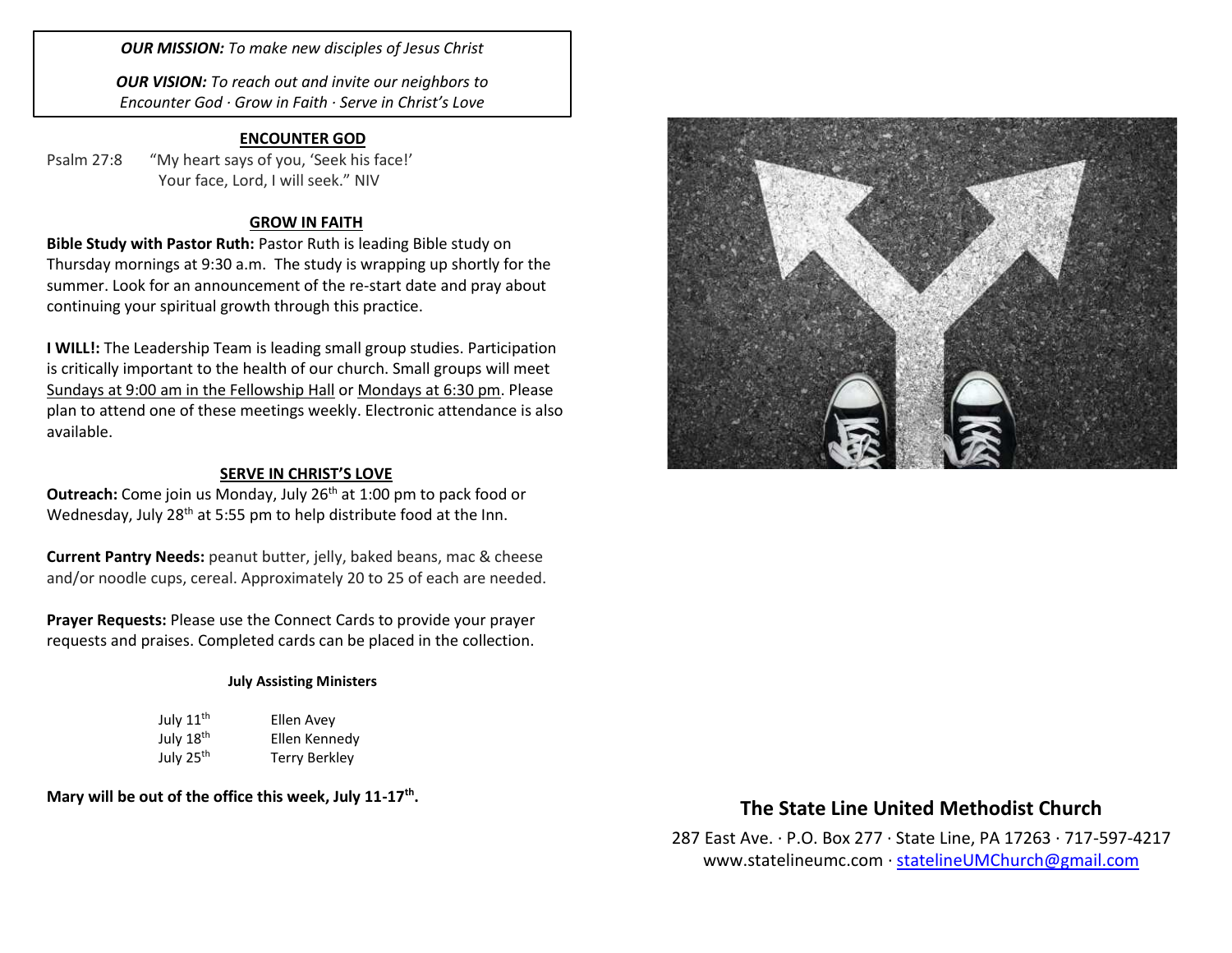*OUR MISSION: To make new disciples of Jesus Christ*

*OUR VISION: To reach out and invite our neighbors to Encounter God · Grow in Faith · Serve in Christ's Love*

## **ENCOUNTER GOD**

Psalm 27:8 "My heart says of you, 'Seek his face!' Your face, Lord, I will seek." NIV

## **GROW IN FAITH**

**Bible Study with Pastor Ruth:** Pastor Ruth is leading Bible study on Thursday mornings at 9:30 a.m. The study is wrapping up shortly for the summer. Look for an announcement of the re-start date and pray about continuing your spiritual growth through this practice.

**I WILL!:** The Leadership Team is leading small group studies. Participation is critically important to the health of our church. Small groups will meet Sundays at 9:00 am in the Fellowship Hall or Mondays at 6:30 pm. Please plan to attend one of these meetings weekly. Electronic attendance is also available.

#### **SERVE IN CHRIST'S LOVE**

**Outreach:** Come join us Monday, July 26<sup>th</sup> at 1:00 pm to pack food or Wednesday, July 28<sup>th</sup> at 5:55 pm to help distribute food at the Inn.

**Current Pantry Needs:** peanut butter, jelly, baked beans, mac & cheese and/or noodle cups, cereal. Approximately 20 to 25 of each are needed.

**Prayer Requests:** Please use the Connect Cards to provide your prayer requests and praises. Completed cards can be placed in the collection.

#### **July Assisting Ministers**

| July 11 <sup>th</sup> | Ellen Avey    |
|-----------------------|---------------|
| July 18 <sup>th</sup> | Ellen Kennedy |
| July 25 <sup>th</sup> | Terry Berkley |

**Mary will be out of the office this week, July 11-17th .** 



## **The State Line United Methodist Church**

287 East Ave. · P.O. Box 277 · State Line, PA 17263 · 717-597-4217 [www.statelineumc.com](http://www.statelineumc.com/) · [statelineUMChurch@gmail.com](mailto:statelineUMChurch@gmail.com)